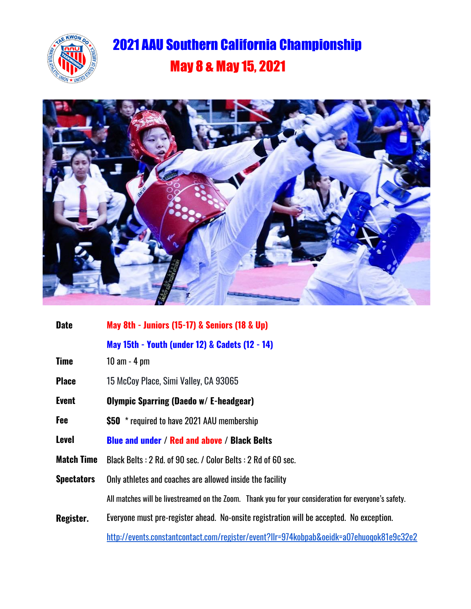

## 2021 AAU Southern California Championship May 8 & May 15, 2021



| <b>Date</b>       | May 8th - Juniors (15-17) & Seniors (18 & Up)                                                         |
|-------------------|-------------------------------------------------------------------------------------------------------|
|                   | May 15th - Youth (under 12) & Cadets (12 - 14)                                                        |
| <b>Time</b>       | $10$ am $-$ 4 pm                                                                                      |
| <b>Place</b>      | 15 McCoy Place, Simi Valley, CA 93065                                                                 |
| <b>Event</b>      | <b>Olympic Sparring (Daedo w/ E-headgear)</b>                                                         |
| Fee               | \$50 * required to have 2021 AAU membership                                                           |
| <b>Level</b>      | <b>Blue and under / Red and above / Black Belts</b>                                                   |
| <b>Match Time</b> | Black Belts: 2 Rd. of 90 sec. / Color Belts: 2 Rd of 60 sec.                                          |
| <b>Spectators</b> | Only athletes and coaches are allowed inside the facility                                             |
|                   | All matches will be livestreamed on the Zoom. Thank you for your consideration for everyone's safety. |
| Register.         | Everyone must pre-register ahead. No-onsite registration will be accepted. No exception.              |
|                   | http://events.constantcontact.com/register/event?llr=974kobpab&oeidk=a07ehuoqok81e9c32e2              |